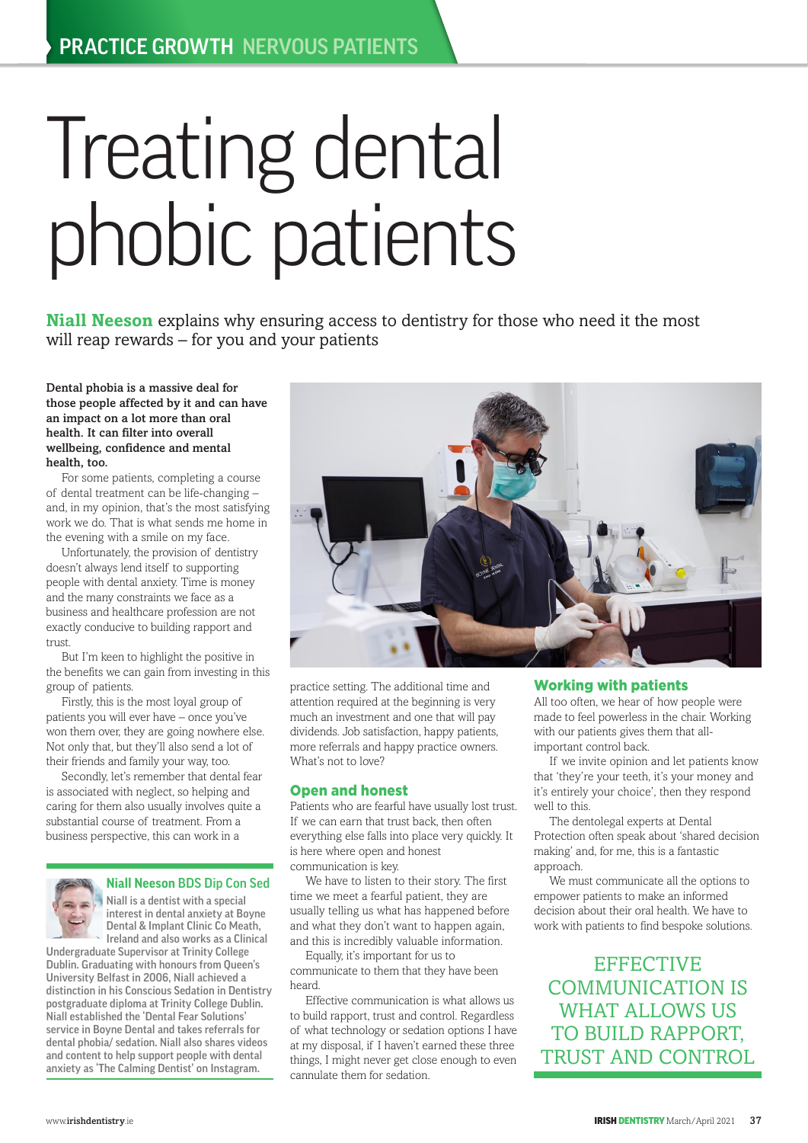# Treating dental phobic patients

**Niall Neeson** explains why ensuring access to dentistry for those who need it the most will reap rewards – for you and your patients

Dental phobia is a massive deal for those people affected by it and can have an impact on a lot more than oral health. It can filter into overall wellbeing, confidence and mental health, too.

For some patients, completing a course of dental treatment can be life-changing – and, in my opinion, that's the most satisfying work we do. That is what sends me home in the evening with a smile on my face.

Unfortunately, the provision of dentistry doesn't always lend itself to supporting people with dental anxiety. Time is money and the many constraints we face as a business and healthcare profession are not exactly conducive to building rapport and trust

But I'm keen to highlight the positive in the benefits we can gain from investing in this group of patients.

Firstly, this is the most loyal group of patients you will ever have – once you've won them over, they are going nowhere else. Not only that, but they'll also send a lot of their friends and family your way, too.

Secondly, let's remember that dental fear is associated with neglect, so helping and caring for them also usually involves quite a substantial course of treatment. From a business perspective, this can work in a



### **Niall Neeson** BDS Dip Con Sed

Niall is a dentist with a special interest in dental anxiety at Boyne Dental & Implant Clinic Co Meath, Ireland and also works as a Clinical

Undergraduate Supervisor at Trinity College Dublin. Graduating with honours from Queen's University Belfast in 2006, Niall achieved a distinction in his Conscious Sedation in Dentistry postgraduate diploma at Trinity College Dublin. Niall established the 'Dental Fear Solutions' service in Boyne Dental and takes referrals for dental phobia/ sedation. Niall also shares videos and content to help support people with dental anxiety as 'The Calming Dentist' on Instagram.



practice setting. The additional time and attention required at the beginning is very much an investment and one that will pay dividends. Job satisfaction, happy patients, more referrals and happy practice owners. What's not to love?

#### Open and honest

Patients who are fearful have usually lost trust. If we can earn that trust back, then often everything else falls into place very quickly. It is here where open and honest communication is key.

We have to listen to their story. The first time we meet a fearful patient, they are usually telling us what has happened before and what they don't want to happen again, and this is incredibly valuable information.

Equally, it's important for us to communicate to them that they have been heard.

Effective communication is what allows us to build rapport, trust and control. Regardless of what technology or sedation options I have at my disposal, if I haven't earned these three things, I might never get close enough to even cannulate them for sedation.

## Working with patients

All too often, we hear of how people were made to feel powerless in the chair. Working with our patients gives them that allimportant control back.

If we invite opinion and let patients know that 'they're your teeth, it's your money and it's entirely your choice', then they respond well to this.

The dentolegal experts at Dental Protection often speak about 'shared decision making' and, for me, this is a fantastic approach.

We must communicate all the options to empower patients to make an informed decision about their oral health. We have to work with patients to find bespoke solutions.

**EFFECTIVE** COMMUNICATION IS WHAT ALLOWS US TO BUILD RAPPORT, TRUST AND CONTROL